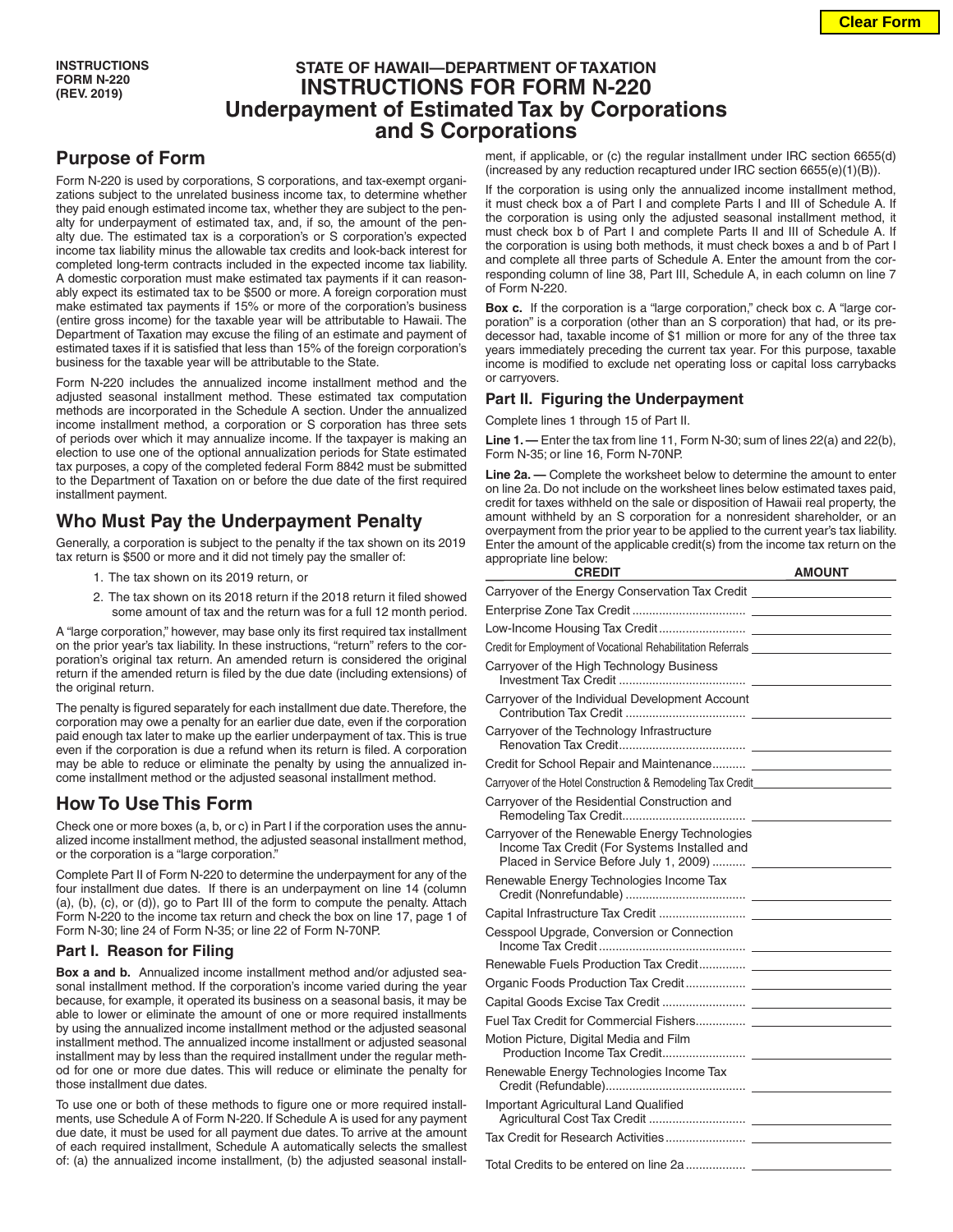## **STATE OF HAWAII—DEPARTMENT OF TAXATION INSTRUCTIONS FOR FORM N-220 Underpayment of Estimated Tax by Corporations and S Corporations**

# **Purpose of Form**

Form N-220 is used by corporations, S corporations, and tax-exempt organizations subject to the unrelated business income tax, to determine whether they paid enough estimated income tax, whether they are subject to the penalty for underpayment of estimated tax, and, if so, the amount of the penalty due. The estimated tax is a corporation's or S corporation's expected income tax liability minus the allowable tax credits and look-back interest for completed long-term contracts included in the expected income tax liability. A domestic corporation must make estimated tax payments if it can reasonably expect its estimated tax to be \$500 or more. A foreign corporation must make estimated tax payments if 15% or more of the corporation's business (entire gross income) for the taxable year will be attributable to Hawaii. The Department of Taxation may excuse the filing of an estimate and payment of estimated taxes if it is satisfied that less than 15% of the foreign corporation's business for the taxable year will be attributable to the State.

Form N-220 includes the annualized income installment method and the adjusted seasonal installment method. These estimated tax computation methods are incorporated in the Schedule A section. Under the annualized income installment method, a corporation or S corporation has three sets of periods over which it may annualize income. If the taxpayer is making an election to use one of the optional annualization periods for State estimated tax purposes, a copy of the completed federal Form 8842 must be submitted to the Department of Taxation on or before the due date of the first required installment payment.

## **Who Must Pay the Underpayment Penalty**

Generally, a corporation is subject to the penalty if the tax shown on its 2019 tax return is \$500 or more and it did not timely pay the smaller of:

- 1. The tax shown on its 2019 return, or
- 2. The tax shown on its 2018 return if the 2018 return it filed showed some amount of tax and the return was for a full 12 month period.

A "large corporation," however, may base only its first required tax installment on the prior year's tax liability. In these instructions, "return" refers to the corporation's original tax return. An amended return is considered the original return if the amended return is filed by the due date (including extensions) of the original return.

The penalty is figured separately for each installment due date. Therefore, the corporation may owe a penalty for an earlier due date, even if the corporation paid enough tax later to make up the earlier underpayment of tax. This is true even if the corporation is due a refund when its return is filed. A corporation may be able to reduce or eliminate the penalty by using the annualized income installment method or the adjusted seasonal installment method.

## **How To Use This Form**

Check one or more boxes (a, b, or c) in Part I if the corporation uses the annualized income installment method, the adjusted seasonal installment method, or the corporation is a "large corporation."

Complete Part II of Form N-220 to determine the underpayment for any of the four installment due dates. If there is an underpayment on line 14 (column (a), (b), (c), or (d)), go to Part III of the form to compute the penalty. Attach Form N-220 to the income tax return and check the box on line 17, page 1 of Form N-30; line 24 of Form N-35; or line 22 of Form N-70NP.

### **Part I. Reason for Filing**

**Box a and b.** Annualized income installment method and/or adjusted seasonal installment method. If the corporation's income varied during the year because, for example, it operated its business on a seasonal basis, it may be able to lower or eliminate the amount of one or more required installments by using the annualized income installment method or the adjusted seasonal installment method. The annualized income installment or adjusted seasonal installment may by less than the required installment under the regular method for one or more due dates. This will reduce or eliminate the penalty for those installment due dates.

To use one or both of these methods to figure one or more required installments, use Schedule A of Form N-220. If Schedule A is used for any payment due date, it must be used for all payment due dates. To arrive at the amount of each required installment, Schedule A automatically selects the smallest of: (a) the annualized income installment, (b) the adjusted seasonal installment, if applicable, or (c) the regular installment under IRC section 6655(d) (increased by any reduction recaptured under IRC section 6655(e)(1)(B)).

If the corporation is using only the annualized income installment method, it must check box a of Part I and complete Parts I and III of Schedule A. If the corporation is using only the adjusted seasonal installment method, it must check box b of Part I and complete Parts II and III of Schedule A. If the corporation is using both methods, it must check boxes a and b of Part I and complete all three parts of Schedule A. Enter the amount from the corresponding column of line 38, Part III, Schedule A, in each column on line 7 of Form N-220.

**Box c.** If the corporation is a "large corporation," check box c. A "large corporation" is a corporation (other than an S corporation) that had, or its predecessor had, taxable income of \$1 million or more for any of the three tax years immediately preceding the current tax year. For this purpose, taxable income is modified to exclude net operating loss or capital loss carrybacks or carryovers.

### **Part II. Figuring the Underpayment**

Complete lines 1 through 15 of Part II.

**Line 1. —** Enter the tax from line 11, Form N-30; sum of lines 22(a) and 22(b), Form N-35; or line 16, Form N-70NP.

**Line 2a. —** Complete the worksheet below to determine the amount to enter on line 2a. Do not include on the worksheet lines below estimated taxes paid, credit for taxes withheld on the sale or disposition of Hawaii real property, the amount withheld by an S corporation for a nonresident shareholder, or an overpayment from the prior year to be applied to the current year's tax liability. Enter the amount of the applicable credit(s) from the income tax return on the appropriate line below:

| <b>CREDIT</b>                                                                                                                            | <b>AMOUNT</b> |
|------------------------------------------------------------------------------------------------------------------------------------------|---------------|
|                                                                                                                                          |               |
|                                                                                                                                          |               |
|                                                                                                                                          |               |
| Credit for Employment of Vocational Rehabilitation Referrals ___________________                                                         |               |
| Carryover of the High Technology Business                                                                                                |               |
| Carryover of the Individual Development Account                                                                                          |               |
| Carryover of the Technology Infrastructure                                                                                               |               |
|                                                                                                                                          |               |
| Carryover of the Hotel Construction & Remodeling Tax Credit_____________________                                                         |               |
| Carryover of the Residential Construction and                                                                                            |               |
| Carryover of the Renewable Energy Technologies<br>Income Tax Credit (For Systems Installed and<br>Placed in Service Before July 1, 2009) |               |
| Renewable Energy Technologies Income Tax                                                                                                 |               |
|                                                                                                                                          |               |
| Cesspool Upgrade, Conversion or Connection                                                                                               |               |
|                                                                                                                                          |               |
|                                                                                                                                          |               |
|                                                                                                                                          |               |
|                                                                                                                                          |               |
| Motion Picture, Digital Media and Film                                                                                                   |               |
| Renewable Energy Technologies Income Tax                                                                                                 |               |
| Important Agricultural Land Qualified                                                                                                    |               |
|                                                                                                                                          |               |
|                                                                                                                                          |               |